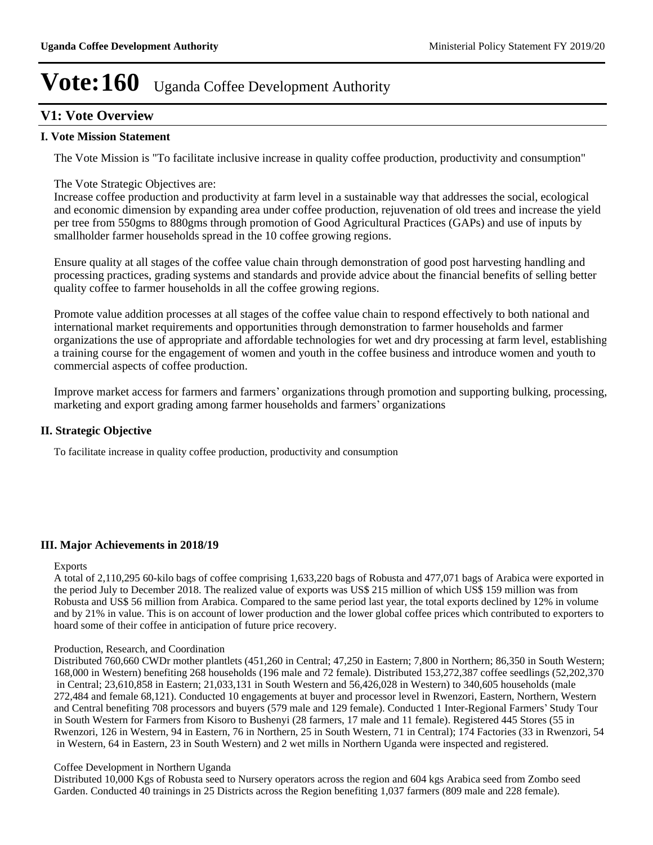# **V1: Vote Overview**

#### **I. Vote Mission Statement**

The Vote Mission is "To facilitate inclusive increase in quality coffee production, productivity and consumption"

The Vote Strategic Objectives are:

Increase coffee production and productivity at farm level in a sustainable way that addresses the social, ecological and economic dimension by expanding area under coffee production, rejuvenation of old trees and increase the yield per tree from 550gms to 880gms through promotion of Good Agricultural Practices (GAPs) and use of inputs by smallholder farmer households spread in the 10 coffee growing regions.

Ensure quality at all stages of the coffee value chain through demonstration of good post harvesting handling and processing practices, grading systems and standards and provide advice about the financial benefits of selling better quality coffee to farmer households in all the coffee growing regions.

Promote value addition processes at all stages of the coffee value chain to respond effectively to both national and international market requirements and opportunities through demonstration to farmer households and farmer organizations the use of appropriate and affordable technologies for wet and dry processing at farm level, establishing a training course for the engagement of women and youth in the coffee business and introduce women and youth to commercial aspects of coffee production.

Improve market access for farmers and farmers' organizations through promotion and supporting bulking, processing, marketing and export grading among farmer households and farmers' organizations

### **II. Strategic Objective**

To facilitate increase in quality coffee production, productivity and consumption

### **III. Major Achievements in 2018/19**

#### Exports

A total of 2,110,295 60-kilo bags of coffee comprising 1,633,220 bags of Robusta and 477,071 bags of Arabica were exported in the period July to December 2018. The realized value of exports was US\$ 215 million of which US\$ 159 million was from Robusta and US\$ 56 million from Arabica. Compared to the same period last year, the total exports declined by 12% in volume and by 21% in value. This is on account of lower production and the lower global coffee prices which contributed to exporters to hoard some of their coffee in anticipation of future price recovery.

#### Production, Research, and Coordination

Distributed 760,660 CWDr mother plantlets (451,260 in Central; 47,250 in Eastern; 7,800 in Northern; 86,350 in South Western; 168,000 in Western) benefiting 268 households (196 male and 72 female). Distributed 153,272,387 coffee seedlings (52,202,370 in Central; 23,610,858 in Eastern; 21,033,131 in South Western and 56,426,028 in Western) to 340,605 households (male 272,484 and female 68,121). Conducted 10 engagements at buyer and processor level in Rwenzori, Eastern, Northern, Western and Central benefiting 708 processors and buyers (579 male and 129 female). Conducted 1 Inter-Regional Farmers' Study Tour in South Western for Farmers from Kisoro to Bushenyi (28 farmers, 17 male and 11 female). Registered 445 Stores (55 in Rwenzori, 126 in Western, 94 in Eastern, 76 in Northern, 25 in South Western, 71 in Central); 174 Factories (33 in Rwenzori, 54 in Western, 64 in Eastern, 23 in South Western) and 2 wet mills in Northern Uganda were inspected and registered.

#### Coffee Development in Northern Uganda

Distributed 10,000 Kgs of Robusta seed to Nursery operators across the region and 604 kgs Arabica seed from Zombo seed Garden. Conducted 40 trainings in 25 Districts across the Region benefiting 1,037 farmers (809 male and 228 female).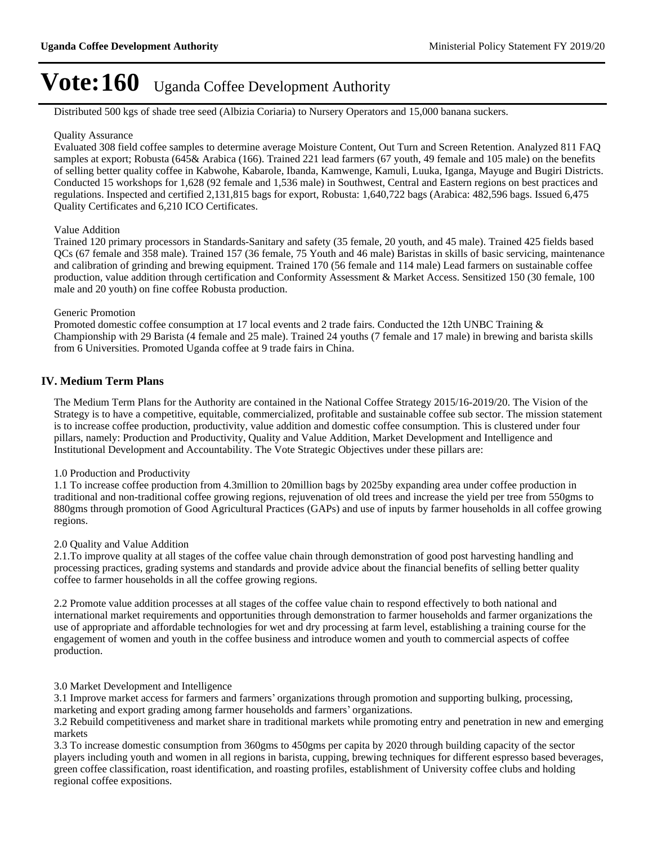Distributed 500 kgs of shade tree seed (Albizia Coriaria) to Nursery Operators and 15,000 banana suckers.

#### Quality Assurance

Evaluated 308 field coffee samples to determine average Moisture Content, Out Turn and Screen Retention. Analyzed 811 FAQ samples at export; Robusta (645& Arabica (166). Trained 221 lead farmers (67 youth, 49 female and 105 male) on the benefits of selling better quality coffee in Kabwohe, Kabarole, Ibanda, Kamwenge, Kamuli, Luuka, Iganga, Mayuge and Bugiri Districts. Conducted 15 workshops for 1,628 (92 female and 1,536 male) in Southwest, Central and Eastern regions on best practices and regulations. Inspected and certified 2,131,815 bags for export, Robusta: 1,640,722 bags (Arabica: 482,596 bags. Issued 6,475 Quality Certificates and 6,210 ICO Certificates.

#### Value Addition

Trained 120 primary processors in Standards-Sanitary and safety (35 female, 20 youth, and 45 male). Trained 425 fields based QCs (67 female and 358 male). Trained 157 (36 female, 75 Youth and 46 male) Baristas in skills of basic servicing, maintenance and calibration of grinding and brewing equipment. Trained 170 (56 female and 114 male) Lead farmers on sustainable coffee production, value addition through certification and Conformity Assessment & Market Access. Sensitized 150 (30 female, 100 male and 20 youth) on fine coffee Robusta production.

#### Generic Promotion

Promoted domestic coffee consumption at 17 local events and 2 trade fairs. Conducted the 12th UNBC Training & Championship with 29 Barista (4 female and 25 male). Trained 24 youths (7 female and 17 male) in brewing and barista skills from 6 Universities. Promoted Uganda coffee at 9 trade fairs in China.

## **IV. Medium Term Plans**

The Medium Term Plans for the Authority are contained in the National Coffee Strategy 2015/16-2019/20. The Vision of the Strategy is to have a competitive, equitable, commercialized, profitable and sustainable coffee sub sector. The mission statement is to increase coffee production, productivity, value addition and domestic coffee consumption. This is clustered under four pillars, namely: Production and Productivity, Quality and Value Addition, Market Development and Intelligence and Institutional Development and Accountability. The Vote Strategic Objectives under these pillars are:

#### 1.0 Production and Productivity

1.1 To increase coffee production from 4.3million to 20million bags by 2025by expanding area under coffee production in traditional and non-traditional coffee growing regions, rejuvenation of old trees and increase the yield per tree from 550gms to 880gms through promotion of Good Agricultural Practices (GAPs) and use of inputs by farmer households in all coffee growing regions.

#### 2.0 Quality and Value Addition

2.1.To improve quality at all stages of the coffee value chain through demonstration of good post harvesting handling and processing practices, grading systems and standards and provide advice about the financial benefits of selling better quality coffee to farmer households in all the coffee growing regions.

2.2 Promote value addition processes at all stages of the coffee value chain to respond effectively to both national and international market requirements and opportunities through demonstration to farmer households and farmer organizations the use of appropriate and affordable technologies for wet and dry processing at farm level, establishing a training course for the engagement of women and youth in the coffee business and introduce women and youth to commercial aspects of coffee production.

#### 3.0 Market Development and Intelligence

3.1 Improve market access for farmers and farmers' organizations through promotion and supporting bulking, processing, marketing and export grading among farmer households and farmers' organizations.

3.2 Rebuild competitiveness and market share in traditional markets while promoting entry and penetration in new and emerging markets

3.3 To increase domestic consumption from 360gms to 450gms per capita by 2020 through building capacity of the sector players including youth and women in all regions in barista, cupping, brewing techniques for different espresso based beverages, green coffee classification, roast identification, and roasting profiles, establishment of University coffee clubs and holding regional coffee expositions.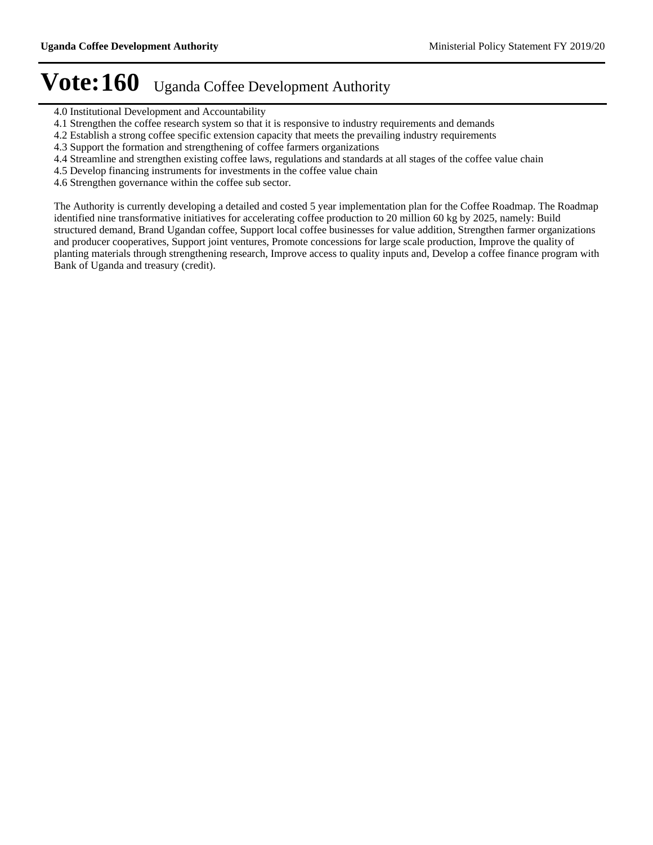- 4.0 Institutional Development and Accountability
- 4.1 Strengthen the coffee research system so that it is responsive to industry requirements and demands
- 4.2 Establish a strong coffee specific extension capacity that meets the prevailing industry requirements
- 4.3 Support the formation and strengthening of coffee farmers organizations
- 4.4 Streamline and strengthen existing coffee laws, regulations and standards at all stages of the coffee value chain
- 4.5 Develop financing instruments for investments in the coffee value chain
- 4.6 Strengthen governance within the coffee sub sector.

The Authority is currently developing a detailed and costed 5 year implementation plan for the Coffee Roadmap. The Roadmap identified nine transformative initiatives for accelerating coffee production to 20 million 60 kg by 2025, namely: Build structured demand, Brand Ugandan coffee, Support local coffee businesses for value addition, Strengthen farmer organizations and producer cooperatives, Support joint ventures, Promote concessions for large scale production, Improve the quality of planting materials through strengthening research, Improve access to quality inputs and, Develop a coffee finance program with Bank of Uganda and treasury (credit).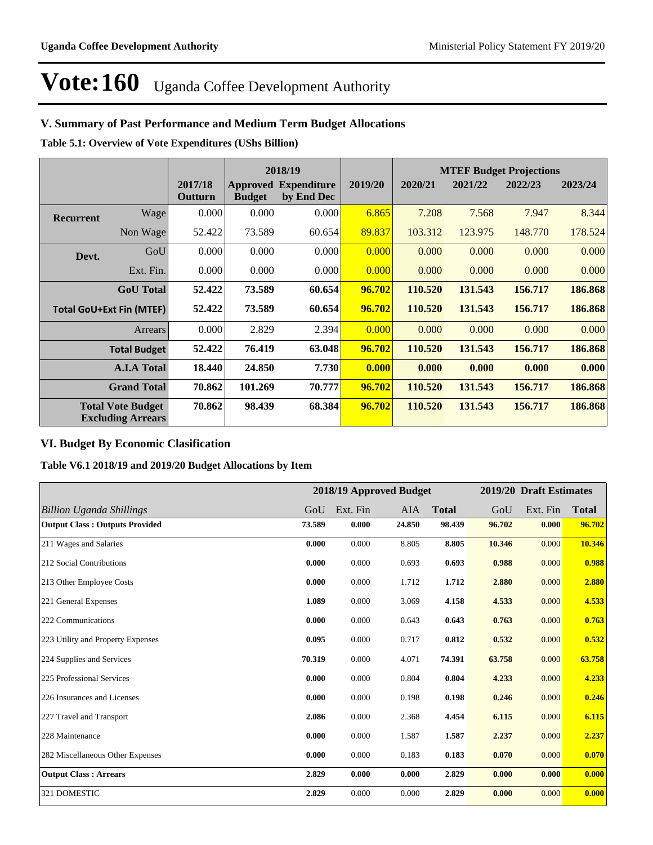# **V. Summary of Past Performance and Medium Term Budget Allocations**

**Table 5.1: Overview of Vote Expenditures (UShs Billion)**

|                                 |                                                      |                    | 2018/19                          |                                  |         |         |         | <b>MTEF Budget Projections</b> |         |
|---------------------------------|------------------------------------------------------|--------------------|----------------------------------|----------------------------------|---------|---------|---------|--------------------------------|---------|
|                                 |                                                      | 2017/18<br>Outturn | <b>Approved</b><br><b>Budget</b> | <b>Expenditure</b><br>by End Dec | 2019/20 | 2020/21 | 2021/22 | 2022/23                        | 2023/24 |
| <b>Recurrent</b>                | Wage                                                 | 0.000              | 0.000                            | 0.000                            | 6.865   | 7.208   | 7.568   | 7.947                          | 8.344   |
|                                 | Non Wage                                             | 52.422             | 73.589                           | 60.654                           | 89.837  | 103.312 | 123.975 | 148.770                        | 178.524 |
| Devt.                           | GoU                                                  | 0.000              | 0.000                            | 0.000                            | 0.000   | 0.000   | 0.000   | 0.000                          | 0.000   |
|                                 | Ext. Fin.                                            | 0.000              | 0.000                            | 0.000                            | 0.000   | 0.000   | 0.000   | 0.000                          | 0.000   |
|                                 | <b>GoU</b> Total                                     | 52.422             | 73.589                           | 60.654                           | 96.702  | 110.520 | 131.543 | 156.717                        | 186.868 |
| <b>Total GoU+Ext Fin (MTEF)</b> |                                                      | 52.422             | 73.589                           | 60.654                           | 96.702  | 110.520 | 131.543 | 156.717                        | 186.868 |
|                                 | Arrears                                              | 0.000              | 2.829                            | 2.394                            | 0.000   | 0.000   | 0.000   | 0.000                          | 0.000   |
|                                 | <b>Total Budget</b>                                  | 52.422             | 76.419                           | 63.048                           | 96.702  | 110.520 | 131.543 | 156.717                        | 186.868 |
|                                 | <b>A.I.A Total</b>                                   | 18.440             | 24.850                           | 7.730                            | 0.000   | 0.000   | 0.000   | 0.000                          | 0.000   |
|                                 | <b>Grand Total</b>                                   | 70.862             | 101.269                          | 70.777                           | 96.702  | 110.520 | 131.543 | 156.717                        | 186.868 |
|                                 | <b>Total Vote Budget</b><br><b>Excluding Arrears</b> | 70.862             | 98.439                           | 68.384                           | 96.702  | 110.520 | 131.543 | 156.717                        | 186.868 |

# **VI. Budget By Economic Clasification**

**Table V6.1 2018/19 and 2019/20 Budget Allocations by Item**

|                                       |        |          | 2018/19 Approved Budget |              |        | 2019/20 Draft Estimates |              |
|---------------------------------------|--------|----------|-------------------------|--------------|--------|-------------------------|--------------|
| <b>Billion Uganda Shillings</b>       | GoU    | Ext. Fin | <b>AIA</b>              | <b>Total</b> | GoU    | Ext. Fin                | <b>Total</b> |
| <b>Output Class: Outputs Provided</b> | 73.589 | 0.000    | 24.850                  | 98.439       | 96.702 | 0.000                   | 96.702       |
| 211 Wages and Salaries                | 0.000  | 0.000    | 8.805                   | 8.805        | 10.346 | 0.000                   | 10.346       |
| 212 Social Contributions              | 0.000  | 0.000    | 0.693                   | 0.693        | 0.988  | 0.000                   | 0.988        |
| 213 Other Employee Costs              | 0.000  | 0.000    | 1.712                   | 1.712        | 2.880  | 0.000                   | 2.880        |
| 221 General Expenses                  | 1.089  | 0.000    | 3.069                   | 4.158        | 4.533  | 0.000                   | 4.533        |
| 222 Communications                    | 0.000  | 0.000    | 0.643                   | 0.643        | 0.763  | 0.000                   | 0.763        |
| 223 Utility and Property Expenses     | 0.095  | 0.000    | 0.717                   | 0.812        | 0.532  | 0.000                   | 0.532        |
| 224 Supplies and Services             | 70.319 | 0.000    | 4.071                   | 74.391       | 63.758 | 0.000                   | 63.758       |
| 225 Professional Services             | 0.000  | 0.000    | 0.804                   | 0.804        | 4.233  | 0.000                   | 4.233        |
| 226 Insurances and Licenses           | 0.000  | 0.000    | 0.198                   | 0.198        | 0.246  | 0.000                   | 0.246        |
| 227 Travel and Transport              | 2.086  | 0.000    | 2.368                   | 4.454        | 6.115  | 0.000                   | 6.115        |
| 228 Maintenance                       | 0.000  | 0.000    | 1.587                   | 1.587        | 2.237  | 0.000                   | 2.237        |
| 282 Miscellaneous Other Expenses      | 0.000  | 0.000    | 0.183                   | 0.183        | 0.070  | 0.000                   | 0.070        |
| <b>Output Class: Arrears</b>          | 2.829  | 0.000    | 0.000                   | 2.829        | 0.000  | 0.000                   | 0.000        |
| 321 DOMESTIC                          | 2.829  | 0.000    | 0.000                   | 2.829        | 0.000  | 0.000                   | 0.000        |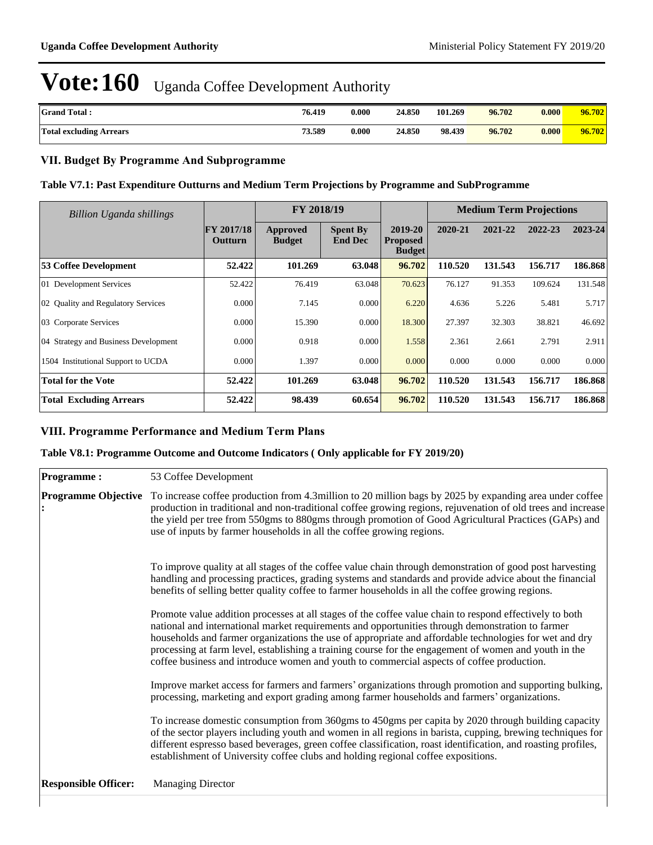| <b>Grand Total:</b>            | 76.419 | 0.000 | 24.850 | 101.269 | 96.702 | 0.000 | 96.702 |
|--------------------------------|--------|-------|--------|---------|--------|-------|--------|
| <b>Total excluding Arrears</b> | 73.589 | 0.000 | 24.850 | 98.439  | 96.702 | 0.000 | 96.702 |

## **VII. Budget By Programme And Subprogramme**

### **Table V7.1: Past Expenditure Outturns and Medium Term Projections by Programme and SubProgramme**

| <b>Billion Uganda shillings</b>      |                              | FY 2018/19                       |                                   |                                             | <b>Medium Term Projections</b> |         |         |         |
|--------------------------------------|------------------------------|----------------------------------|-----------------------------------|---------------------------------------------|--------------------------------|---------|---------|---------|
|                                      | <b>FY 2017/18</b><br>Outturn | <b>Approved</b><br><b>Budget</b> | <b>Spent By</b><br><b>End Dec</b> | 2019-20<br><b>Proposed</b><br><b>Budget</b> | 2020-21                        | 2021-22 | 2022-23 | 2023-24 |
| 53 Coffee Development                | 52.422                       | 101.269                          | 63.048                            | 96.702                                      | 110.520                        | 131.543 | 156.717 | 186.868 |
| 01 Development Services              | 52.422                       | 76.419                           | 63.048                            | 70.623                                      | 76.127                         | 91.353  | 109.624 | 131.548 |
| 02 Quality and Regulatory Services   | 0.000                        | 7.145                            | 0.000                             | 6.220                                       | 4.636                          | 5.226   | 5.481   | 5.717   |
| 03 Corporate Services                | 0.000                        | 15.390                           | 0.000                             | 18.300                                      | 27.397                         | 32.303  | 38.821  | 46.692  |
| 04 Strategy and Business Development | 0.000                        | 0.918                            | 0.000                             | 1.558                                       | 2.361                          | 2.661   | 2.791   | 2.911   |
| 1504 Institutional Support to UCDA   | 0.000                        | 1.397                            | 0.000                             | 0.000                                       | 0.000                          | 0.000   | 0.000   | 0.000   |
| <b>Total for the Vote</b>            | 52.422                       | 101.269                          | 63.048                            | 96.702                                      | 110.520                        | 131.543 | 156.717 | 186.868 |
| <b>Total Excluding Arrears</b>       | 52.422                       | 98.439                           | 60.654                            | 96.702                                      | 110.520                        | 131.543 | 156.717 | 186.868 |

# **VIII. Programme Performance and Medium Term Plans**

# **Table V8.1: Programme Outcome and Outcome Indicators ( Only applicable for FY 2019/20)**

| Programme:                  | 53 Coffee Development                                                                                                                                                                                                                                                                                                                                                                                                                                                                                                       |
|-----------------------------|-----------------------------------------------------------------------------------------------------------------------------------------------------------------------------------------------------------------------------------------------------------------------------------------------------------------------------------------------------------------------------------------------------------------------------------------------------------------------------------------------------------------------------|
| <b>Programme Objective</b>  | To increase coffee production from 4.3 million to 20 million bags by 2025 by expanding area under coffee<br>production in traditional and non-traditional coffee growing regions, rejuvenation of old trees and increase<br>the yield per tree from 550gms to 880gms through promotion of Good Agricultural Practices (GAPs) and<br>use of inputs by farmer households in all the coffee growing regions.                                                                                                                   |
|                             | To improve quality at all stages of the coffee value chain through demonstration of good post harvesting<br>handling and processing practices, grading systems and standards and provide advice about the financial<br>benefits of selling better quality coffee to farmer households in all the coffee growing regions.                                                                                                                                                                                                    |
|                             | Promote value addition processes at all stages of the coffee value chain to respond effectively to both<br>national and international market requirements and opportunities through demonstration to farmer<br>households and farmer organizations the use of appropriate and affordable technologies for wet and dry<br>processing at farm level, establishing a training course for the engagement of women and youth in the<br>coffee business and introduce women and youth to commercial aspects of coffee production. |
|                             | Improve market access for farmers and farmers' organizations through promotion and supporting bulking,<br>processing, marketing and export grading among farmer households and farmers' organizations.                                                                                                                                                                                                                                                                                                                      |
|                             | To increase domestic consumption from 360gms to 450gms per capita by 2020 through building capacity<br>of the sector players including youth and women in all regions in barista, cupping, brewing techniques for<br>different espresso based beverages, green coffee classification, roast identification, and roasting profiles,<br>establishment of University coffee clubs and holding regional coffee expositions.                                                                                                     |
| <b>Responsible Officer:</b> | <b>Managing Director</b>                                                                                                                                                                                                                                                                                                                                                                                                                                                                                                    |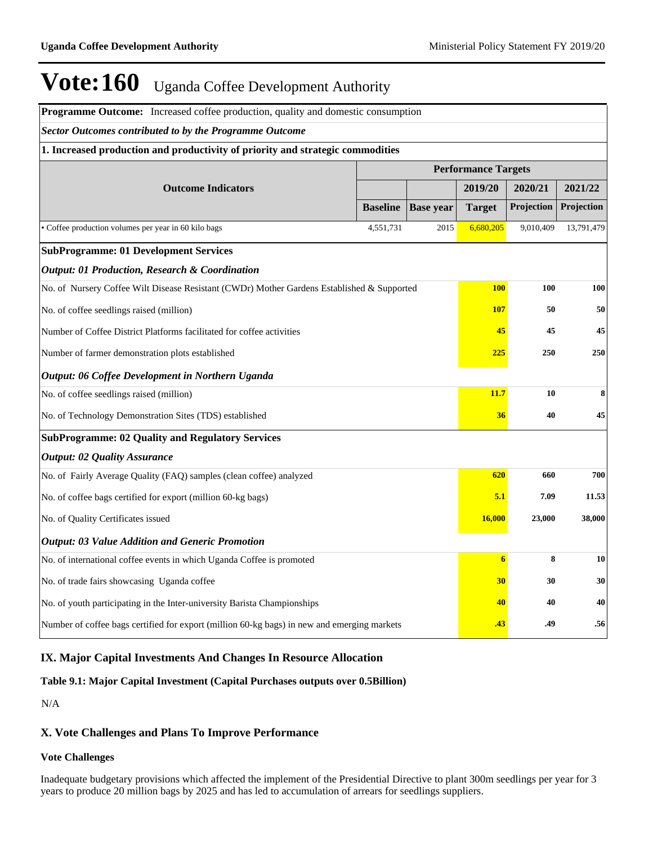| Programme Outcome: Increased coffee production, quality and domestic consumption            |                            |                  |                  |            |            |  |  |  |  |
|---------------------------------------------------------------------------------------------|----------------------------|------------------|------------------|------------|------------|--|--|--|--|
| <b>Sector Outcomes contributed to by the Programme Outcome</b>                              |                            |                  |                  |            |            |  |  |  |  |
| 1. Increased production and productivity of priority and strategic commodities              |                            |                  |                  |            |            |  |  |  |  |
|                                                                                             | <b>Performance Targets</b> |                  |                  |            |            |  |  |  |  |
| <b>Outcome Indicators</b>                                                                   |                            |                  | 2019/20          | 2020/21    | 2021/22    |  |  |  |  |
|                                                                                             | <b>Baseline</b>            | <b>Base year</b> | <b>Target</b>    | Projection | Projection |  |  |  |  |
| • Coffee production volumes per year in 60 kilo bags                                        | 4,551,731                  | 2015             | 6,680,205        | 9,010,409  | 13,791,479 |  |  |  |  |
| <b>SubProgramme: 01 Development Services</b>                                                |                            |                  |                  |            |            |  |  |  |  |
| <b>Output: 01 Production, Research &amp; Coordination</b>                                   |                            |                  |                  |            |            |  |  |  |  |
| No. of Nursery Coffee Wilt Disease Resistant (CWDr) Mother Gardens Established & Supported  |                            |                  | <b>100</b>       | 100        | 100        |  |  |  |  |
| No. of coffee seedlings raised (million)<br><b>107</b><br>50                                |                            |                  |                  |            |            |  |  |  |  |
| Number of Coffee District Platforms facilitated for coffee activities<br>45                 |                            |                  |                  |            |            |  |  |  |  |
| Number of farmer demonstration plots established                                            |                            | <b>225</b>       | 250              | 250        |            |  |  |  |  |
| Output: 06 Coffee Development in Northern Uganda                                            |                            |                  |                  |            |            |  |  |  |  |
| No. of coffee seedlings raised (million)                                                    |                            |                  | 11.7             | 10         | 8          |  |  |  |  |
| No. of Technology Demonstration Sites (TDS) established                                     |                            |                  | 36               | 40         | 45         |  |  |  |  |
| <b>SubProgramme: 02 Quality and Regulatory Services</b>                                     |                            |                  |                  |            |            |  |  |  |  |
| <b>Output: 02 Quality Assurance</b>                                                         |                            |                  |                  |            |            |  |  |  |  |
| No. of Fairly Average Quality (FAQ) samples (clean coffee) analyzed                         |                            |                  | 620              | 660        | 700        |  |  |  |  |
| No. of coffee bags certified for export (million 60-kg bags)                                |                            |                  | 5.1              | 7.09       | 11.53      |  |  |  |  |
| 16,000<br>23,000<br>No. of Quality Certificates issued                                      |                            |                  |                  |            |            |  |  |  |  |
| <b>Output: 03 Value Addition and Generic Promotion</b>                                      |                            |                  |                  |            |            |  |  |  |  |
| No. of international coffee events in which Uganda Coffee is promoted                       |                            |                  | $\boldsymbol{6}$ | 8          | 10         |  |  |  |  |
| No. of trade fairs showcasing Uganda coffee                                                 |                            |                  | 30 <sup>°</sup>  | 30         | 30         |  |  |  |  |
| No. of youth participating in the Inter-university Barista Championships                    |                            |                  | 40               | 40         | 40         |  |  |  |  |
| Number of coffee bags certified for export (million 60-kg bags) in new and emerging markets |                            |                  | .43              | .49        | .56        |  |  |  |  |

# **IX. Major Capital Investments And Changes In Resource Allocation**

### **Table 9.1: Major Capital Investment (Capital Purchases outputs over 0.5Billion)**

N/A

### **X. Vote Challenges and Plans To Improve Performance**

### **Vote Challenges**

Inadequate budgetary provisions which affected the implement of the Presidential Directive to plant 300m seedlings per year for 3 years to produce 20 million bags by 2025 and has led to accumulation of arrears for seedlings suppliers.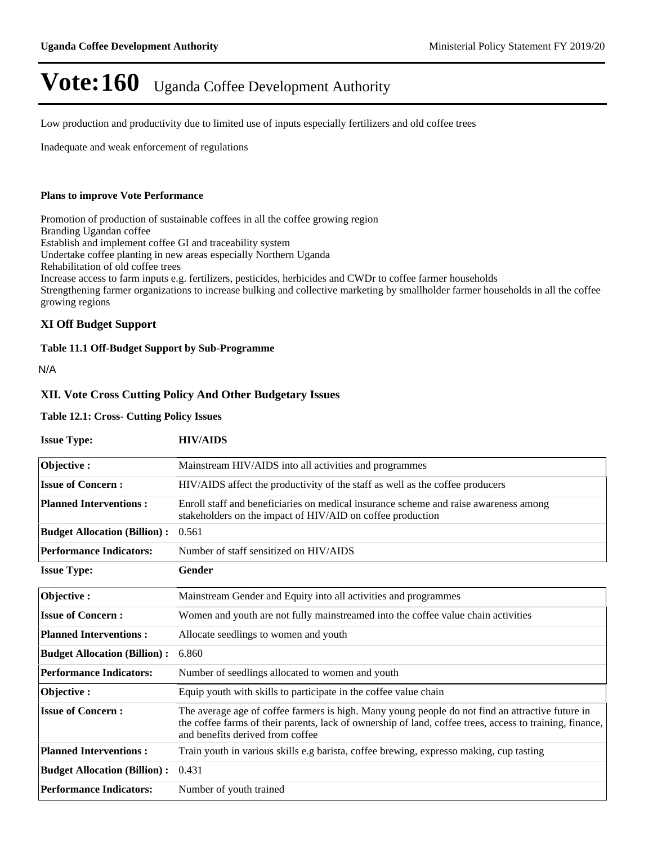Low production and productivity due to limited use of inputs especially fertilizers and old coffee trees

Inadequate and weak enforcement of regulations

#### **Plans to improve Vote Performance**

Promotion of production of sustainable coffees in all the coffee growing region Branding Ugandan coffee Establish and implement coffee GI and traceability system Undertake coffee planting in new areas especially Northern Uganda Rehabilitation of old coffee trees Increase access to farm inputs e.g. fertilizers, pesticides, herbicides and CWDr to coffee farmer households Strengthening farmer organizations to increase bulking and collective marketing by smallholder farmer households in all the coffee growing regions

#### **XI Off Budget Support**

#### **Table 11.1 Off-Budget Support by Sub-Programme**

N/A

#### **XII. Vote Cross Cutting Policy And Other Budgetary Issues**

#### **Table 12.1: Cross- Cutting Policy Issues**

| <b>Issue Type:</b>                  | <b>HIV/AIDS</b>                                                                                                                                                                                                                                  |
|-------------------------------------|--------------------------------------------------------------------------------------------------------------------------------------------------------------------------------------------------------------------------------------------------|
| Objective:                          | Mainstream HIV/AIDS into all activities and programmes                                                                                                                                                                                           |
| <b>Issue of Concern:</b>            | HIV/AIDS affect the productivity of the staff as well as the coffee producers                                                                                                                                                                    |
| <b>Planned Interventions:</b>       | Enroll staff and beneficiaries on medical insurance scheme and raise awareness among<br>stakeholders on the impact of HIV/AID on coffee production                                                                                               |
| <b>Budget Allocation (Billion):</b> | 0.561                                                                                                                                                                                                                                            |
| <b>Performance Indicators:</b>      | Number of staff sensitized on HIV/AIDS                                                                                                                                                                                                           |
| <b>Issue Type:</b>                  | Gender                                                                                                                                                                                                                                           |
| Objective:                          | Mainstream Gender and Equity into all activities and programmes                                                                                                                                                                                  |
| <b>Issue of Concern:</b>            | Women and youth are not fully mainstreamed into the coffee value chain activities                                                                                                                                                                |
| <b>Planned Interventions:</b>       | Allocate seedlings to women and youth                                                                                                                                                                                                            |
| <b>Budget Allocation (Billion):</b> | 6.860                                                                                                                                                                                                                                            |
| <b>Performance Indicators:</b>      | Number of seedlings allocated to women and youth                                                                                                                                                                                                 |
| Objective:                          | Equip youth with skills to participate in the coffee value chain                                                                                                                                                                                 |
| <b>Issue of Concern:</b>            | The average age of coffee farmers is high. Many young people do not find an attractive future in<br>the coffee farms of their parents, lack of ownership of land, coffee trees, access to training, finance,<br>and benefits derived from coffee |
| <b>Planned Interventions:</b>       | Train youth in various skills e.g barista, coffee brewing, expresso making, cup tasting                                                                                                                                                          |
| <b>Budget Allocation (Billion):</b> | 0.431                                                                                                                                                                                                                                            |
| <b>Performance Indicators:</b>      | Number of youth trained                                                                                                                                                                                                                          |